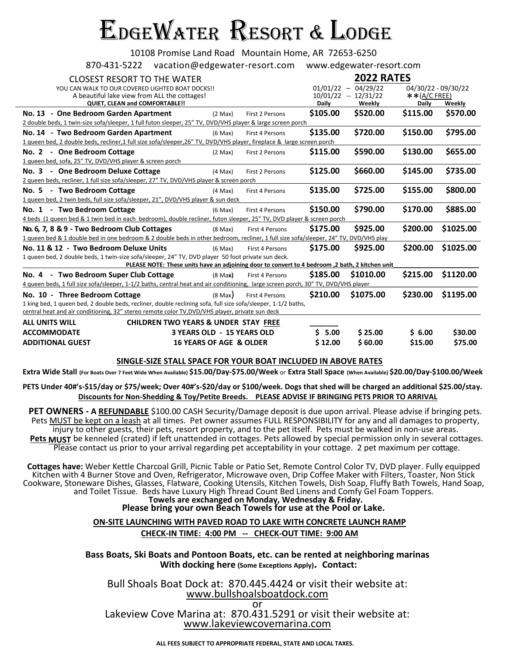## EdgeWater Resort & Lodge

10108 Promise Land Road Mountain Home, AR 72653-6250

870-431-5222 vacation@edgewater-resort.com www.edgewater-resort.com

| CLOSEST RESORT TO THE WATER                                                                                                          |                                    |                        | <b>2022 RATES</b> |                       |                |                     |  |
|--------------------------------------------------------------------------------------------------------------------------------------|------------------------------------|------------------------|-------------------|-----------------------|----------------|---------------------|--|
| YOU CAN WALK TO OUR COVERED LIGHTED BOAT DOCKS!!                                                                                     |                                    |                        |                   | $01/01/22 - 04/29/22$ |                | 04/30/22 - 09/30/22 |  |
| A beautiful lake view from ALL the cottages!                                                                                         |                                    |                        |                   | $10/01/22 - 12/31/22$ | $**(A/C FREE)$ |                     |  |
| QUIET, CLEAN and COMFORTABLE!!                                                                                                       |                                    |                        | <b>Daily</b>      | Weekly                | <b>Daily</b>   | Weekly              |  |
| No. 13 - One Bedroom Garden Apartment                                                                                                | $(2 \text{ Max})$                  | First 2 Persons        | \$105.00          | \$520.00              | \$115.00       | \$570.00            |  |
| 2 double beds, 1 twin-size sofa/sleeper, 1 full futon sleeper, 25" TV, DVD/VHS player & large screen porch                           |                                    |                        |                   |                       |                |                     |  |
| No. 14 - Two Bedroom Garden Apartment                                                                                                | $(6$ Max $)$                       | <b>First 4 Persons</b> | \$135.00          | \$720.00              | \$150.00       | \$795.00            |  |
| 1 queen bed, 2 double beds, recliner,1 full size sofa/sleeper,26" TV, DVD/VHS player, fireplace & large screen porch                 |                                    |                        |                   |                       |                |                     |  |
| No. 2 - One Bedroom Cottage                                                                                                          | $(2$ Max $)$                       | First 2 Persons        | \$115.00          | \$590.00              | \$130.00       | \$655.00            |  |
| 1 queen bed, sofa, 25" TV, DVD/VHS player & screen porch                                                                             |                                    |                        |                   |                       |                |                     |  |
| - One Bedroom Deluxe Cottage<br><b>No. 3</b>                                                                                         | $(4$ Max $)$                       | First 2 Persons        | \$125.00          | \$660.00              | \$145.00       | \$735.00            |  |
| 2 queen beds, recliner, 1 full size sofa/sleeper, 27" TV, DVD/VHS player & screen porch                                              |                                    |                        |                   |                       |                |                     |  |
| - Two Bedroom Cottage<br>No. 5                                                                                                       | $(4$ Max $)$                       | First 4 Persons        | \$135.00          | \$725.00              | \$155.00       | \$800.00            |  |
| 1 queen bed, 2 twin beds, full size sofa/sleeper, 21", DVD/VHS player & sun deck                                                     |                                    |                        |                   |                       |                |                     |  |
| No. 1 - Two Bedroom Cottage                                                                                                          | $(6$ Max $)$                       | <b>First 4 Persons</b> | \$150.00          | \$790.00              | \$170.00       | \$885.00            |  |
| 4 beds (1 queen bed & 1 twin bed in each bedroom), double recliner, futon sleeper, 25" TV, DVD player & screen porch                 |                                    |                        |                   |                       |                |                     |  |
| No. 6, 7, 8 & 9 - Two Bedroom Club Cottages                                                                                          | $(8$ Max $)$                       | <b>First 4 Persons</b> | \$175.00          | \$925.00              | \$200.00       | \$1025.00           |  |
| 1 queen bed & 1 double bed in one bedroom & 2 double beds in other bedroom, recliner, 1 full size sofa/sleeper, 24" TV, DVD/VHS play |                                    |                        |                   |                       |                |                     |  |
| No. 11 & 12 - Two Bedroom Deluxe Units                                                                                               | $(6$ Max $)$                       | First 4 Persons        | \$175.00          | \$925.00              | \$200.00       | \$1025.00           |  |
| 1 queen bed, 2 double beds, 1 twin-size sofa/sleeper, 24" TV, DVD player 50 foot private sun deck.                                   |                                    |                        |                   |                       |                |                     |  |
| PLEASE NOTE: These units have an adjoining door to convert to 4 bedroom, 2 bath, 2 kitchen unit                                      |                                    |                        |                   |                       |                |                     |  |
| No. 4 - Two Bedroom Super Club Cottage                                                                                               | $(8$ Max)                          | First 4 Persons        | \$185.00          | \$1010.00             | \$215.00       | \$1120.00           |  |
| 4 queen beds, 1 full size sofa/sleeper, 1-1/2 baths, central heat and air conditioning, large screen porch, 30" TV, DVD/VHS player   |                                    |                        |                   |                       |                |                     |  |
| No. 10 - Three Bedroom Cottage                                                                                                       | $(8 \text{ Max})$                  | First 4 Persons        | \$210.00          | \$1075.00             | \$230.00       | \$1195.00           |  |
| 1 king bed, 1 queen bed, 2 double beds, recliner, double reclining sofa, full size sofa/sleeper, 1-1/2 baths,                        |                                    |                        |                   |                       |                |                     |  |
| central heat and air conditioning, 32" stereo remote color TV, DVD/VHS player, private sun deck                                      |                                    |                        |                   |                       |                |                     |  |
| <b>ALL UNITS WILL</b><br><b>CHILDREN TWO YEARS &amp; UNDER STAY FREE</b>                                                             |                                    |                        |                   |                       |                |                     |  |
| <b>ACCOMMODATE</b>                                                                                                                   | <b>3 YEARS OLD - 15 YEARS OLD</b>  |                        | 5.00<br>S.        | \$25.00               | \$ 6.00        | \$30.00             |  |
| <b>ADDITIONAL GUEST</b>                                                                                                              | <b>16 YEARS OF AGE &amp; OLDER</b> |                        | \$12.00           | \$60.00               | \$15.00        | \$75.00             |  |

## **SINGLE-SIZE STALL SPACE FOR YOUR BOAT INCLUDED IN ABOVE RATES**

**Extra Wide Stall (For Boats Over 7 Feet Wide When Available) \$15.00/Day-\$75.00/Week** or **Extra Stall Space (When Available) \$20.00/Day-\$100.00/Week**

**PETS Under 40#'s-\$15/day or \$75/week; Over 40#'s-\$20/day or \$100/week. Dogs that shed will be charged an additional \$25.00/stay. Discounts for Non-Shedding & Toy/Petite Breeds. PLEASE ADVISE IF BRINGING PETS PRIOR TO ARRIVAL**

**PET OWNERS - A REFUNDABLE** \$100.00 CASH Security/Damage deposit is due upon arrival. Please advise if bringing pets. Pets MUST be kept on a leash at all times. Pet owner assumes FULL RESPONSIBILITY for any and all damages to property, injury to other guests, their pets, resort property, and to the pet itself. Pets must be walked in non-use areas. Pets **MUST** be kenneled (crated) if left unattended in cottages. Pets allowed by special permission only in several cottages. Please contact us prior to your arrival regarding pet acceptability in your cottage. 2 pet maximum per cottage.

**Cottages have:** Weber Kettle Charcoal Grill, Picnic Table or Patio Set, Remote Control Color TV, DVD player. Fully equipped Kitchen with 4 Burner Stove and Oven, Refrigerator, Microwave oven, Drip Coffee Maker with Filters, Toaster, Non Stick Cookware, Stoneware Dishes, Glasses, Flatware, Cooking Utensils, Kitchen Towels, Dish Soap, Fluffy Bath Towels, Hand Soap, and Toilet Tissue. Beds have Luxury High Thread Count Bed Linens and Comfy Gel Foam Toppers. **Towels are exchanged on Monday, Wednesday & Friday.**

## **Please bring your own Beach Towels for use at the Pool or Lake.**

**ON-SITE LAUNCHING WITH PAVED ROAD TO LAKE WITH CONCRETE LAUNCH RAMP CHECK-IN TIME: 4:00 PM -- CHECK-OUT TIME: 9:00 AM**

**Bass Boats, Ski Boats and Pontoon Boats, etc. can be rented at neighboring marinas With docking here (Some Exceptions Apply). Contact:** 

Bull Shoals Boat Dock at: 870.445.4424 or visit their website at: [www.bullshoalsboatdock.com](http://www.bullshoalsboatdock.com/) or Lakeview Cove Marina at: 870.431.5291 or visit their website at: [www.lakeviewcovemarina.com](http://www.lakeviewcovemarina.com/)

**ALL FEES SUBJECT TO APPROPRIATE FEDERAL, STATE AND LOCAL TAXES.**